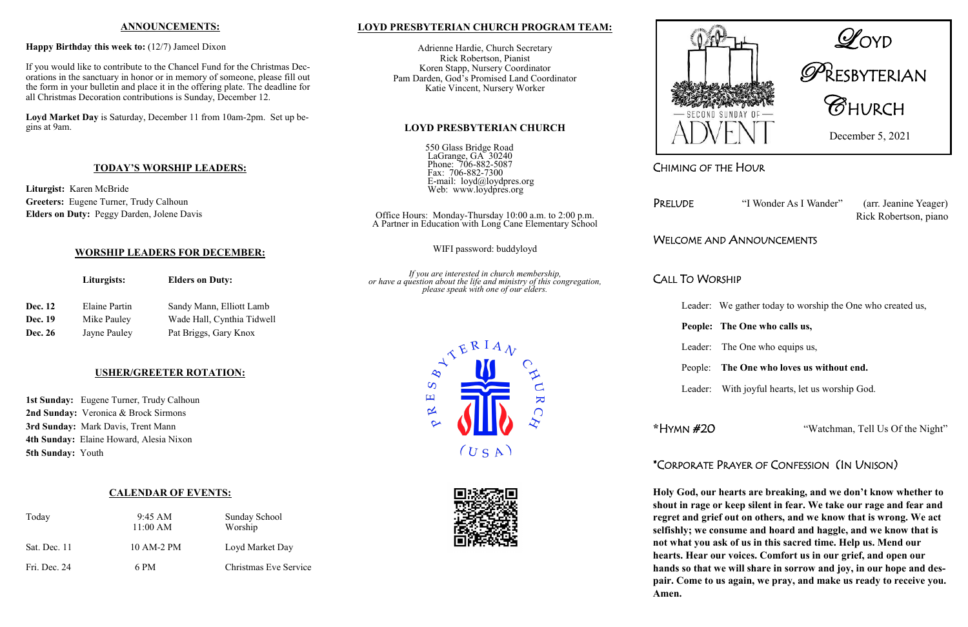CHIMING OF THE HOUR

Rick Robertson, piano

# WELCOME AND ANNOUNCEMENTS

# CALL TO WORSHIP

Leader: We gather today to worship the One who created us,

# **People: The One who calls us,**

Leader: The One who equips us,

# People: **The One who loves us without end.**

Leader: With joyful hearts, let us worship God.

**\***HYMN #20"Watchman, Tell Us Of the Night"

# \*CORPORATE PRAYER OF CONFESSION (IN UNISON)

**Holy God, our hearts are breaking, and we don't know whether to shout in rage or keep silent in fear. We take our rage and fear and regret and grief out on others, and we know that is wrong. We act selfishly; we consume and hoard and haggle, and we know that is not what you ask of us in this sacred time. Help us. Mend our hearts. Hear our voices. Comfort us in our grief, and open our hands so that we will share in sorrow and joy, in our hope and despair. Come to us again, we pray, and make us ready to receive you.** 

**Amen.** 



1st Sunday: Eugene Turner, Trudy Calhoun **2nd Sunday:** Veronica & Brock Sirmons **3rd Sunday:** Mark Davis, Trent Mann **4th Sunday:** Elaine Howard, Alesia Nixon **5th Sunday:** Youth

# **PRESBYTERIAN**  $\mathscr G$ HVRCH

December 5, 2021

PRELUDE "I Wonder As I Wander" (arr. Jeanine Yeager)

#### **ANNOUNCEMENTS:**

#### **Happy Birthday this week to:** (12/7) Jameel Dixon

If you would like to contribute to the Chancel Fund for the Christmas Decorations in the sanctuary in honor or in memory of someone, please fill out the form in your bulletin and place it in the offering plate. The deadline for all Christmas Decoration contributions is Sunday, December 12.

**Loyd Market Day** is Saturday, December 11 from 10am-2pm. Set up begins at 9am.

#### **TODAY'S WORSHIP LEADERS:**

**Liturgist:** Karen McBride **Greeters:** Eugene Turner, Trudy Calhoun **Elders on Duty:** Peggy Darden, Jolene Davis

#### **WORSHIP LEADERS FOR DECEMBER:**

|                | Liturgists:   | <b>Elders on Duty:</b>     |  |
|----------------|---------------|----------------------------|--|
| <b>Dec. 12</b> | Elaine Partin | Sandy Mann, Elliott Lamb   |  |
| <b>Dec. 19</b> | Mike Pauley   | Wade Hall, Cynthia Tidwell |  |
| <b>Dec. 26</b> | Jayne Pauley  | Pat Briggs, Gary Knox      |  |

#### **USHER/GREETER ROTATION:**

### **CALENDAR OF EVENTS:**

| Today        | $9:45 \text{ AM}$<br>11:00 AM | Sunday School<br>Worship |
|--------------|-------------------------------|--------------------------|
| Sat. Dec. 11 | 10 AM-2 PM                    | Loyd Market Day          |
| Fri. Dec. 24 | 6 PM                          | Christmas Eve Service    |

#### **LOYD PRESBYTERIAN CHURCH PROGRAM TEAM:**

Adrienne Hardie, Church Secretary Rick Robertson, Pianist Koren Stapp, Nursery Coordinator Pam Darden, God's Promised Land Coordinator Katie Vincent, Nursery Worker

#### **LOYD PRESBYTERIAN CHURCH**

550 Glass Bridge Road LaGrange, GA 30240 Phone: 706-882-5087 Fax: 706-882-7300 E-mail: loyd@loydpres.org Web: www.loydpres.org

Office Hours: Monday-Thursday 10:00 a.m. to 2:00 p.m. A Partner in Education with Long Cane Elementary School

WIFI password: buddyloyd

*If you are interested in church membership, or have a question about the life and ministry of this congregation, please speak with one of our elders.*